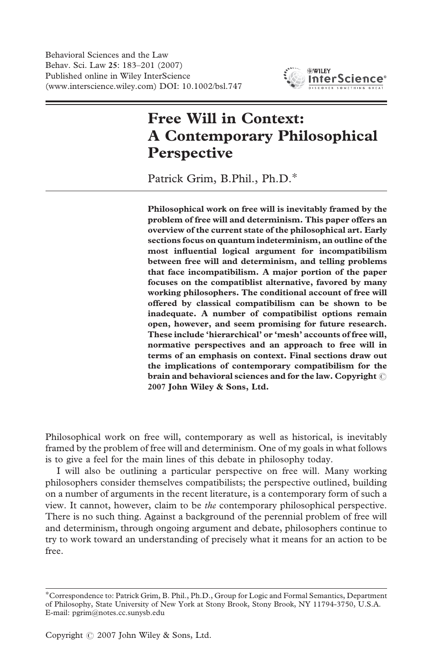

# Free Will in Context: A Contemporary Philosophical Perspective

Patrick Grim, B.Phil., Ph.D.\*

Philosophical work on free will is inevitably framed by the problem of free will and determinism. This paper offers an overview of the current state of the philosophical art. Early sections focus on quantum indeterminism, an outline of the most influential logical argument for incompatibilism between free will and determinism, and telling problems that face incompatibilism. A major portion of the paper focuses on the compatiblist alternative, favored by many working philosophers. The conditional account of free will offered by classical compatibilism can be shown to be inadequate. A number of compatibilist options remain open, however, and seem promising for future research. These include 'hierarchical' or 'mesh' accounts of free will, normative perspectives and an approach to free will in terms of an emphasis on context. Final sections draw out the implications of contemporary compatibilism for the brain and behavioral sciences and for the law. Copyright  $\circledcirc$ 2007 John Wiley & Sons, Ltd.

Philosophical work on free will, contemporary as well as historical, is inevitably framed by the problem of free will and determinism. One of my goals in what follows is to give a feel for the main lines of this debate in philosophy today.

I will also be outlining a particular perspective on free will. Many working philosophers consider themselves compatibilists; the perspective outlined, building on a number of arguments in the recent literature, is a contemporary form of such a view. It cannot, however, claim to be the contemporary philosophical perspective. There is no such thing. Against a background of the perennial problem of free will and determinism, through ongoing argument and debate, philosophers continue to try to work toward an understanding of precisely what it means for an action to be free.

<sup>\*</sup>Correspondence to: Patrick Grim, B. Phil., Ph.D., Group for Logic and Formal Semantics, Department of Philosophy, State University of New York at Stony Brook, Stony Brook, NY 11794-3750, U.S.A. E-mail: pgrim@notes.cc.sunysb.edu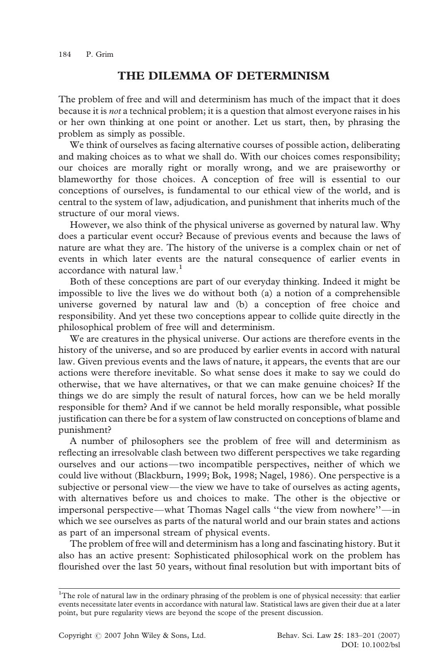## THE DILEMMA OF DETERMINISM

The problem of free and will and determinism has much of the impact that it does because it is not a technical problem; it is a question that almost everyone raises in his or her own thinking at one point or another. Let us start, then, by phrasing the problem as simply as possible.

We think of ourselves as facing alternative courses of possible action, deliberating and making choices as to what we shall do. With our choices comes responsibility; our choices are morally right or morally wrong, and we are praiseworthy or blameworthy for those choices. A conception of free will is essential to our conceptions of ourselves, is fundamental to our ethical view of the world, and is central to the system of law, adjudication, and punishment that inherits much of the structure of our moral views.

However, we also think of the physical universe as governed by natural law. Why does a particular event occur? Because of previous events and because the laws of nature are what they are. The history of the universe is a complex chain or net of events in which later events are the natural consequence of earlier events in accordance with natural law.<sup>1</sup>

Both of these conceptions are part of our everyday thinking. Indeed it might be impossible to live the lives we do without both (a) a notion of a comprehensible universe governed by natural law and (b) a conception of free choice and responsibility. And yet these two conceptions appear to collide quite directly in the philosophical problem of free will and determinism.

We are creatures in the physical universe. Our actions are therefore events in the history of the universe, and so are produced by earlier events in accord with natural law. Given previous events and the laws of nature, it appears, the events that are our actions were therefore inevitable. So what sense does it make to say we could do otherwise, that we have alternatives, or that we can make genuine choices? If the things we do are simply the result of natural forces, how can we be held morally responsible for them? And if we cannot be held morally responsible, what possible justification can there be for a system of law constructed on conceptions of blame and punishment?

A number of philosophers see the problem of free will and determinism as reflecting an irresolvable clash between two different perspectives we take regarding ourselves and our actions— two incompatible perspectives, neither of which we could live without (Blackburn, 1999; Bok, 1998; Nagel, 1986). One perspective is a subjective or personal view— the view we have to take of ourselves as acting agents, with alternatives before us and choices to make. The other is the objective or impersonal perspective—what Thomas Nagel calls ''the view from nowhere''—in which we see ourselves as parts of the natural world and our brain states and actions as part of an impersonal stream of physical events.

The problem of free will and determinism has a long and fascinating history. But it also has an active present: Sophisticated philosophical work on the problem has flourished over the last 50 years, without final resolution but with important bits of

<sup>&</sup>lt;sup>1</sup>The role of natural law in the ordinary phrasing of the problem is one of physical necessity: that earlier events necessitate later events in accordance with natural law. Statistical laws are given their due at a later point, but pure regularity views are beyond the scope of the present discussion.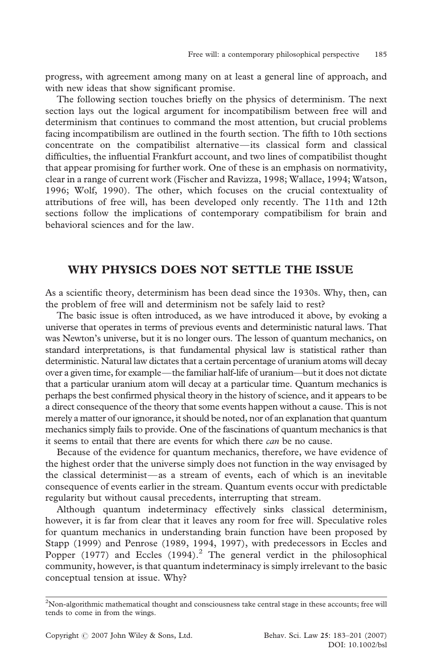progress, with agreement among many on at least a general line of approach, and with new ideas that show significant promise.

The following section touches briefly on the physics of determinism. The next section lays out the logical argument for incompatibilism between free will and determinism that continues to command the most attention, but crucial problems facing incompatibilism are outlined in the fourth section. The fifth to 10th sections concentrate on the compatibilist alternative—its classical form and classical difficulties, the influential Frankfurt account, and two lines of compatibilist thought that appear promising for further work. One of these is an emphasis on normativity, clear in a range of current work (Fischer and Ravizza, 1998; Wallace, 1994; Watson, 1996; Wolf, 1990). The other, which focuses on the crucial contextuality of attributions of free will, has been developed only recently. The 11th and 12th sections follow the implications of contemporary compatibilism for brain and behavioral sciences and for the law.

#### WHY PHYSICS DOES NOT SETTLE THE ISSUE

As a scientific theory, determinism has been dead since the 1930s. Why, then, can the problem of free will and determinism not be safely laid to rest?

The basic issue is often introduced, as we have introduced it above, by evoking a universe that operates in terms of previous events and deterministic natural laws. That was Newton's universe, but it is no longer ours. The lesson of quantum mechanics, on standard interpretations, is that fundamental physical law is statistical rather than deterministic. Natural law dictates that a certain percentage of uranium atoms will decay over a given time, for example—the familiar half-life of uranium—but it does not dictate that a particular uranium atom will decay at a particular time. Quantum mechanics is perhaps the best confirmed physical theory in the history of science, and it appears to be a direct consequence of the theory that some events happen without a cause. This is not merely a matter of our ignorance, it should be noted, nor of an explanation that quantum mechanics simply fails to provide. One of the fascinations of quantum mechanics is that it seems to entail that there are events for which there can be no cause.

Because of the evidence for quantum mechanics, therefore, we have evidence of the highest order that the universe simply does not function in the way envisaged by the classical determinist—as a stream of events, each of which is an inevitable consequence of events earlier in the stream. Quantum events occur with predictable regularity but without causal precedents, interrupting that stream.

Although quantum indeterminacy effectively sinks classical determinism, however, it is far from clear that it leaves any room for free will. Speculative roles for quantum mechanics in understanding brain function have been proposed by Stapp (1999) and Penrose (1989, 1994, 1997), with predecessors in Eccles and Popper (1977) and Eccles (1994).<sup>2</sup> The general verdict in the philosophical community, however, is that quantum indeterminacy is simply irrelevant to the basic conceptual tension at issue. Why?

 $2$ Non-algorithmic mathematical thought and consciousness take central stage in these accounts; free will tends to come in from the wings.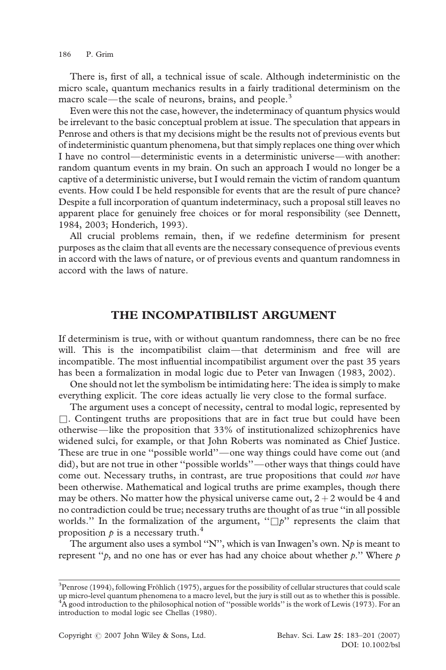There is, first of all, a technical issue of scale. Although indeterministic on the micro scale, quantum mechanics results in a fairly traditional determinism on the macro scale—the scale of neurons, brains, and people.<sup>3</sup>

Even were this not the case, however, the indeterminacy of quantum physics would be irrelevant to the basic conceptual problem at issue. The speculation that appears in Penrose and others is that my decisions might be the results not of previous events but of indeterministic quantum phenomena, but that simply replaces one thing over which I have no control—deterministic events in a deterministic universe—with another: random quantum events in my brain. On such an approach I would no longer be a captive of a deterministic universe, but I would remain the victim of random quantum events. How could I be held responsible for events that are the result of pure chance? Despite a full incorporation of quantum indeterminacy, such a proposal still leaves no apparent place for genuinely free choices or for moral responsibility (see Dennett, 1984, 2003; Honderich, 1993).

All crucial problems remain, then, if we redefine determinism for present purposes as the claim that all events are the necessary consequence of previous events in accord with the laws of nature, or of previous events and quantum randomness in accord with the laws of nature.

#### THE INCOMPATIBILIST ARGUMENT

If determinism is true, with or without quantum randomness, there can be no free will. This is the incompatibilist claim—that determinism and free will are incompatible. The most influential incompatibilist argument over the past 35 years has been a formalization in modal logic due to Peter van Inwagen (1983, 2002).

One should not let the symbolism be intimidating here: The idea is simply to make everything explicit. The core ideas actually lie very close to the formal surface.

The argument uses a concept of necessity, central to modal logic, represented by  $\Box$ . Contingent truths are propositions that are in fact true but could have been otherwise—like the proposition that 33% of institutionalized schizophrenics have widened sulci, for example, or that John Roberts was nominated as Chief Justice. These are true in one ''possible world''—one way things could have come out (and did), but are not true in other ''possible worlds''—other ways that things could have come out. Necessary truths, in contrast, are true propositions that could not have been otherwise. Mathematical and logical truths are prime examples, though there may be others. No matter how the physical universe came out,  $2 + 2$  would be 4 and no contradiction could be true; necessary truths are thought of as true ''in all possible worlds." In the formalization of the argument, " $\Box p$ " represents the claim that proposition  $p$  is a necessary truth.<sup>4</sup>

The argument also uses a symbol "N", which is van Inwagen's own. N $p$  is meant to represent " $p$ , and no one has or ever has had any choice about whether  $p$ ." Where  $p$ 

 $3$ Penrose (1994), following Fröhlich (1975), argues for the possibility of cellular structures that could scale up micro-level quantum phenomena to a macro level, but the jury is still out as to whether this is possible. <sup>4</sup>A good introduction to the philosophical notion of "possible worlds" is the work of Lewis (1973). For an introduction to modal logic see Chellas (1980).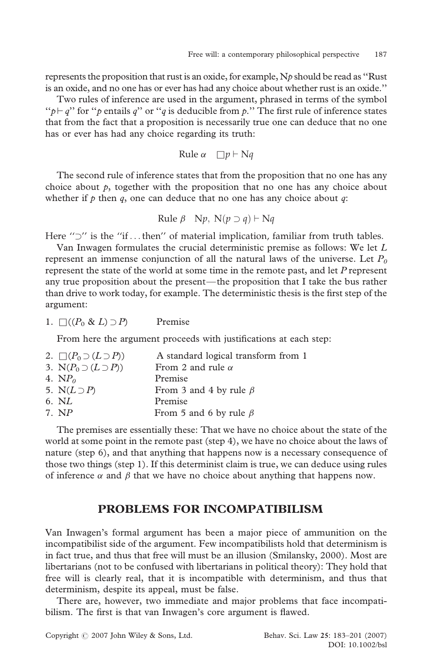represents the proposition that rust is an oxide, for example,  $N_p$  should be read as "Rust" is an oxide, and no one has or ever has had any choice about whether rust is an oxide.''

Two rules of inference are used in the argument, phrased in terms of the symbol " $p \vdash q$ " for "p entails q" or "q is deducible from p." The first rule of inference states that from the fact that a proposition is necessarily true one can deduce that no one has or ever has had any choice regarding its truth:

$$
Rule \alpha \quad \Box p \vdash Nq
$$

The second rule of inference states that from the proposition that no one has any choice about  $p$ , together with the proposition that no one has any choice about whether if  $p$  then  $q$ , one can deduce that no one has any choice about  $q$ :

$$
Rule \beta \quad Np, \ N(p \supset q) \vdash Nq
$$

Here " $\Box$ " is the "if ... then" of material implication, familiar from truth tables.

Van Inwagen formulates the crucial deterministic premise as follows: We let  $L$ represent an immense conjunction of all the natural laws of the universe. Let  $P_0$ represent the state of the world at some time in the remote past, and let P represent any true proposition about the present— the proposition that I take the bus rather than drive to work today, for example. The deterministic thesis is the first step of the argument:

1.  $\Box((P_0 \& L) \supset P)$  Premise

From here the argument proceeds with justifications at each step:

| 2. $\Box (P_0 \supset (L \supset P))$ | A standard logical transform from 1 |
|---------------------------------------|-------------------------------------|
| 3. N $(P_0 \supset (L \supset P))$    | From 2 and rule $\alpha$            |
| 4. $NPo$                              | Premise                             |
| 5. N $(L \supset P)$                  | From 3 and 4 by rule $\beta$        |
| 6. NL                                 | Premise                             |
| 7. NP                                 | From 5 and 6 by rule $\beta$        |
|                                       |                                     |

The premises are essentially these: That we have no choice about the state of the world at some point in the remote past (step 4), we have no choice about the laws of nature (step 6), and that anything that happens now is a necessary consequence of those two things (step 1). If this determinist claim is true, we can deduce using rules of inference  $\alpha$  and  $\beta$  that we have no choice about anything that happens now.

### PROBLEMS FOR INCOMPATIBILISM

Van Inwagen's formal argument has been a major piece of ammunition on the incompatibilist side of the argument. Few incompatibilists hold that determinism is in fact true, and thus that free will must be an illusion (Smilansky, 2000). Most are libertarians (not to be confused with libertarians in political theory): They hold that free will is clearly real, that it is incompatible with determinism, and thus that determinism, despite its appeal, must be false.

There are, however, two immediate and major problems that face incompatibilism. The first is that van Inwagen's core argument is flawed.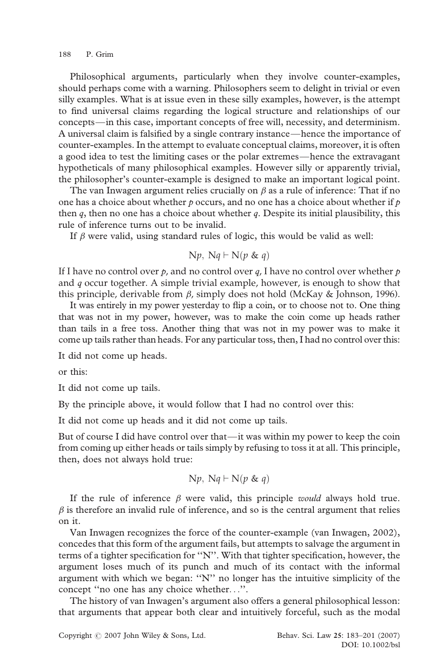Philosophical arguments, particularly when they involve counter-examples, should perhaps come with a warning. Philosophers seem to delight in trivial or even silly examples. What is at issue even in these silly examples, however, is the attempt to find universal claims regarding the logical structure and relationships of our concepts—in this case, important concepts of free will, necessity, and determinism. A universal claim is falsified by a single contrary instance—hence the importance of counter-examples. In the attempt to evaluate conceptual claims, moreover, it is often a good idea to test the limiting cases or the polar extremes—hence the extravagant hypotheticals of many philosophical examples. However silly or apparently trivial, the philosopher's counter-example is designed to make an important logical point.

The van Inwagen argument relies crucially on  $\beta$  as a rule of inference: That if no one has a choice about whether  $p$  occurs, and no one has a choice about whether if  $p$ then  $q$ , then no one has a choice about whether  $q$ . Despite its initial plausibility, this rule of inference turns out to be invalid.

If  $\beta$  were valid, using standard rules of logic, this would be valid as well:

$$
Np, Nq \vdash N(p \& q)
$$

If I have no control over  $p$ , and no control over q, I have no control over whether  $p$ and  $q$  occur together. A simple trivial example, however, is enough to show that this principle, derivable from  $\beta$ , simply does not hold (McKay & Johnson, 1996).

It was entirely in my power yesterday to flip a coin, or to choose not to. One thing that was not in my power, however, was to make the coin come up heads rather than tails in a free toss. Another thing that was not in my power was to make it come up tails rather than heads. For any particular toss, then, I had no control over this:

It did not come up heads.

or this:

It did not come up tails.

By the principle above, it would follow that I had no control over this:

It did not come up heads and it did not come up tails.

But of course I did have control over that—it was within my power to keep the coin from coming up either heads or tails simply by refusing to toss it at all. This principle, then, does not always hold true:

$$
Np, Nq \vdash N(p \& q)
$$

If the rule of inference  $\beta$  were valid, this principle *would* always hold true.  $\beta$  is therefore an invalid rule of inference, and so is the central argument that relies on it.

Van Inwagen recognizes the force of the counter-example (van Inwagen, 2002), concedes that this form of the argument fails, but attempts to salvage the argument in terms of a tighter specification for ''N''. With that tighter specification, however, the argument loses much of its punch and much of its contact with the informal argument with which we began: ''N'' no longer has the intuitive simplicity of the concept ''no one has any choice whether...''.

The history of van Inwagen's argument also offers a general philosophical lesson: that arguments that appear both clear and intuitively forceful, such as the modal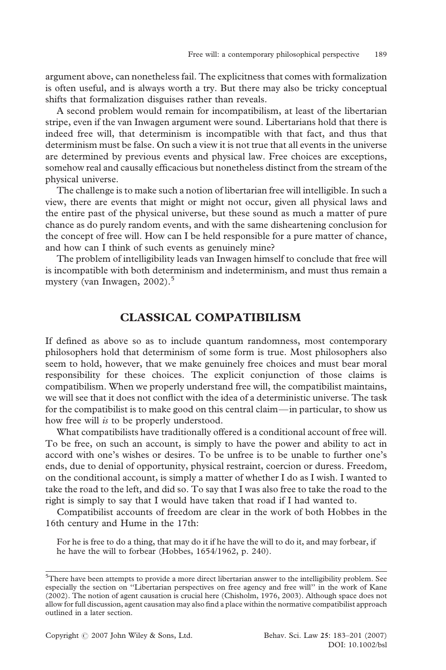argument above, can nonetheless fail. The explicitness that comes with formalization is often useful, and is always worth a try. But there may also be tricky conceptual shifts that formalization disguises rather than reveals.

A second problem would remain for incompatibilism, at least of the libertarian stripe, even if the van Inwagen argument were sound. Libertarians hold that there is indeed free will, that determinism is incompatible with that fact, and thus that determinism must be false. On such a view it is not true that all events in the universe are determined by previous events and physical law. Free choices are exceptions, somehow real and causally efficacious but nonetheless distinct from the stream of the physical universe.

The challenge is to make such a notion of libertarian free will intelligible. In such a view, there are events that might or might not occur, given all physical laws and the entire past of the physical universe, but these sound as much a matter of pure chance as do purely random events, and with the same disheartening conclusion for the concept of free will. How can I be held responsible for a pure matter of chance, and how can I think of such events as genuinely mine?

The problem of intelligibility leads van Inwagen himself to conclude that free will is incompatible with both determinism and indeterminism, and must thus remain a mystery (van Inwagen, 2002).<sup>5</sup>

# CLASSICAL COMPATIBILISM

If defined as above so as to include quantum randomness, most contemporary philosophers hold that determinism of some form is true. Most philosophers also seem to hold, however, that we make genuinely free choices and must bear moral responsibility for these choices. The explicit conjunction of those claims is compatibilism. When we properly understand free will, the compatibilist maintains, we will see that it does not conflict with the idea of a deterministic universe. The task for the compatibilist is to make good on this central claim—in particular, to show us how free will is to be properly understood.

What compatibilists have traditionally offered is a conditional account of free will. To be free, on such an account, is simply to have the power and ability to act in accord with one's wishes or desires. To be unfree is to be unable to further one's ends, due to denial of opportunity, physical restraint, coercion or duress. Freedom, on the conditional account, is simply a matter of whether I do as I wish. I wanted to take the road to the left, and did so. To say that I was also free to take the road to the right is simply to say that I would have taken that road if I had wanted to.

Compatibilist accounts of freedom are clear in the work of both Hobbes in the 16th century and Hume in the 17th:

For he is free to do a thing, that may do it if he have the will to do it, and may forbear, if he have the will to forbear (Hobbes, 1654/1962, p. 240).

<sup>&</sup>lt;sup>5</sup>There have been attempts to provide a more direct libertarian answer to the intelligibility problem. See especially the section on ''Libertarian perspectives on free agency and free will'' in the work of Kane (2002). The notion of agent causation is crucial here (Chisholm, 1976, 2003). Although space does not allow for full discussion, agent causation may also find a place within the normative compatibilist approach outlined in a later section.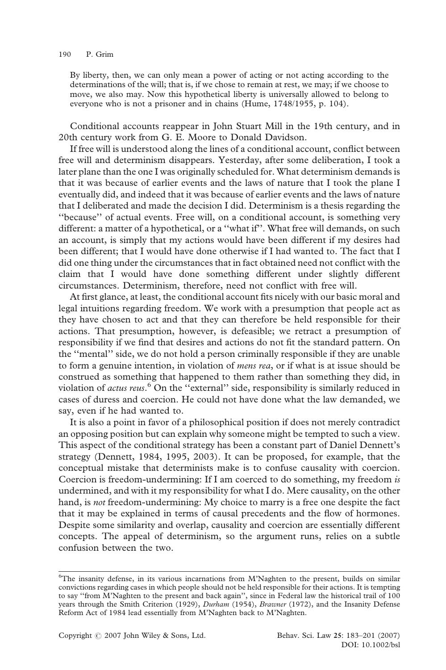#### 190 P. Grim

By liberty, then, we can only mean a power of acting or not acting according to the determinations of the will; that is, if we chose to remain at rest, we may; if we choose to move, we also may. Now this hypothetical liberty is universally allowed to belong to everyone who is not a prisoner and in chains (Hume, 1748/1955, p. 104).

Conditional accounts reappear in John Stuart Mill in the 19th century, and in 20th century work from G. E. Moore to Donald Davidson.

If free will is understood along the lines of a conditional account, conflict between free will and determinism disappears. Yesterday, after some deliberation, I took a later plane than the one I was originally scheduled for. What determinism demands is that it was because of earlier events and the laws of nature that I took the plane I eventually did, and indeed that it was because of earlier events and the laws of nature that I deliberated and made the decision I did. Determinism is a thesis regarding the ''because'' of actual events. Free will, on a conditional account, is something very different: a matter of a hypothetical, or a ''what if''. What free will demands, on such an account, is simply that my actions would have been different if my desires had been different; that I would have done otherwise if I had wanted to. The fact that I did one thing under the circumstances that in fact obtained need not conflict with the claim that I would have done something different under slightly different circumstances. Determinism, therefore, need not conflict with free will.

At first glance, at least, the conditional account fits nicely with our basic moral and legal intuitions regarding freedom. We work with a presumption that people act as they have chosen to act and that they can therefore be held responsible for their actions. That presumption, however, is defeasible; we retract a presumption of responsibility if we find that desires and actions do not fit the standard pattern. On the ''mental'' side, we do not hold a person criminally responsible if they are unable to form a genuine intention, in violation of mens rea, or if what is at issue should be construed as something that happened to them rather than something they did, in violation of *actus reus*.<sup>6</sup> On the "external" side, responsibility is similarly reduced in cases of duress and coercion. He could not have done what the law demanded, we say, even if he had wanted to.

It is also a point in favor of a philosophical position if does not merely contradict an opposing position but can explain why someone might be tempted to such a view. This aspect of the conditional strategy has been a constant part of Daniel Dennett's strategy (Dennett, 1984, 1995, 2003). It can be proposed, for example, that the conceptual mistake that determinists make is to confuse causality with coercion. Coercion is freedom-undermining: If I am coerced to do something, my freedom is undermined, and with it my responsibility for what I do. Mere causality, on the other hand, is *not* freedom-undermining: My choice to marry is a free one despite the fact that it may be explained in terms of causal precedents and the flow of hormones. Despite some similarity and overlap, causality and coercion are essentially different concepts. The appeal of determinism, so the argument runs, relies on a subtle confusion between the two.

<sup>6</sup> The insanity defense, in its various incarnations from M'Naghten to the present, builds on similar convictions regarding cases in which people should not be held responsible for their actions. It is tempting to say ''from M'Naghten to the present and back again'', since in Federal law the historical trail of 100 years through the Smith Criterion (1929), Durham (1954), Brawner (1972), and the Insanity Defense Reform Act of 1984 lead essentially from M'Naghten back to M'Naghten.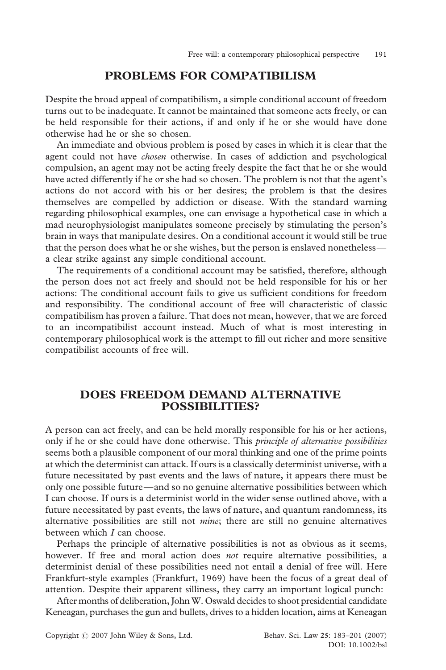### PROBLEMS FOR COMPATIBILISM

Despite the broad appeal of compatibilism, a simple conditional account of freedom turns out to be inadequate. It cannot be maintained that someone acts freely, or can be held responsible for their actions, if and only if he or she would have done otherwise had he or she so chosen.

An immediate and obvious problem is posed by cases in which it is clear that the agent could not have chosen otherwise. In cases of addiction and psychological compulsion, an agent may not be acting freely despite the fact that he or she would have acted differently if he or she had so chosen. The problem is not that the agent's actions do not accord with his or her desires; the problem is that the desires themselves are compelled by addiction or disease. With the standard warning regarding philosophical examples, one can envisage a hypothetical case in which a mad neurophysiologist manipulates someone precisely by stimulating the person's brain in ways that manipulate desires. On a conditional account it would still be true that the person does what he or she wishes, but the person is enslaved nonetheless a clear strike against any simple conditional account.

The requirements of a conditional account may be satisfied, therefore, although the person does not act freely and should not be held responsible for his or her actions: The conditional account fails to give us sufficient conditions for freedom and responsibility. The conditional account of free will characteristic of classic compatibilism has proven a failure. That does not mean, however, that we are forced to an incompatibilist account instead. Much of what is most interesting in contemporary philosophical work is the attempt to fill out richer and more sensitive compatibilist accounts of free will.

#### DOES FREEDOM DEMAND ALTERNATIVE POSSIBILITIES?

A person can act freely, and can be held morally responsible for his or her actions, only if he or she could have done otherwise. This *principle of alternative possibilities* seems both a plausible component of our moral thinking and one of the prime points at which the determinist can attack. If ours is a classically determinist universe, with a future necessitated by past events and the laws of nature, it appears there must be only one possible future—and so no genuine alternative possibilities between which I can choose. If ours is a determinist world in the wider sense outlined above, with a future necessitated by past events, the laws of nature, and quantum randomness, its alternative possibilities are still not mine; there are still no genuine alternatives between which I can choose.

Perhaps the principle of alternative possibilities is not as obvious as it seems, however. If free and moral action does *not* require alternative possibilities, a determinist denial of these possibilities need not entail a denial of free will. Here Frankfurt-style examples (Frankfurt, 1969) have been the focus of a great deal of attention. Despite their apparent silliness, they carry an important logical punch:

After months of deliberation, John W. Oswald decides to shoot presidential candidate Keneagan, purchases the gun and bullets, drives to a hidden location, aims at Keneagan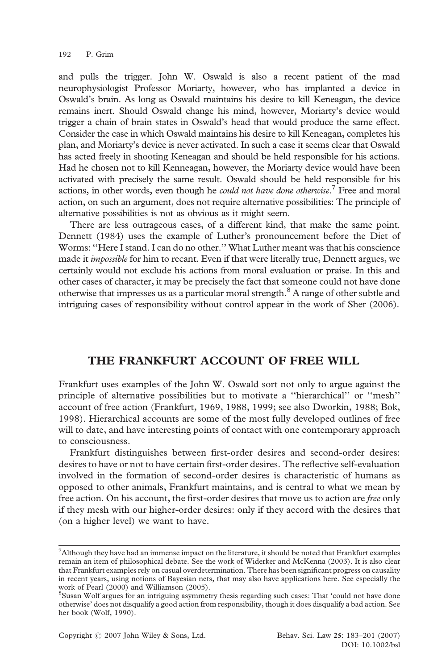and pulls the trigger. John W. Oswald is also a recent patient of the mad neurophysiologist Professor Moriarty, however, who has implanted a device in Oswald's brain. As long as Oswald maintains his desire to kill Keneagan, the device remains inert. Should Oswald change his mind, however, Moriarty's device would trigger a chain of brain states in Oswald's head that would produce the same effect. Consider the case in which Oswald maintains his desire to kill Keneagan, completes his plan, and Moriarty's device is never activated. In such a case it seems clear that Oswald has acted freely in shooting Keneagan and should be held responsible for his actions. Had he chosen not to kill Kenneagan, however, the Moriarty device would have been activated with precisely the same result. Oswald should be held responsible for his actions, in other words, even though he *could not have done otherwise*.<sup>7</sup> Free and moral action, on such an argument, does not require alternative possibilities: The principle of alternative possibilities is not as obvious as it might seem.

There are less outrageous cases, of a different kind, that make the same point. Dennett (1984) uses the example of Luther's pronouncement before the Diet of Worms: ''Here I stand. I can do no other.'' What Luther meant was that his conscience made it impossible for him to recant. Even if that were literally true, Dennett argues, we certainly would not exclude his actions from moral evaluation or praise. In this and other cases of character, it may be precisely the fact that someone could not have done otherwise that impresses us as a particular moral strength.<sup>8</sup> A range of other subtle and intriguing cases of responsibility without control appear in the work of Sher (2006).

### THE FRANKFURT ACCOUNT OF FREE WILL

Frankfurt uses examples of the John W. Oswald sort not only to argue against the principle of alternative possibilities but to motivate a ''hierarchical'' or ''mesh'' account of free action (Frankfurt, 1969, 1988, 1999; see also Dworkin, 1988; Bok, 1998). Hierarchical accounts are some of the most fully developed outlines of free will to date, and have interesting points of contact with one contemporary approach to consciousness.

Frankfurt distinguishes between first-order desires and second-order desires: desires to have or not to have certain first-order desires. The reflective self-evaluation involved in the formation of second-order desires is characteristic of humans as opposed to other animals, Frankfurt maintains, and is central to what we mean by free action. On his account, the first-order desires that move us to action are free only if they mesh with our higher-order desires: only if they accord with the desires that (on a higher level) we want to have.

 $^7$ Although they have had an immense impact on the literature, it should be noted that Frankfurt examples remain an item of philosophical debate. See the work of Widerker and McKenna (2003). It is also clear that Frankfurt examples rely on casual overdetermination. There has been significant progress on causality in recent years, using notions of Bayesian nets, that may also have applications here. See especially the work of Pearl (2000) and Williamson (2005).

<sup>8</sup> Susan Wolf argues for an intriguing asymmetry thesis regarding such cases: That 'could not have done otherwise' does not disqualify a good action from responsibility, though it does disqualify a bad action. See her book (Wolf, 1990).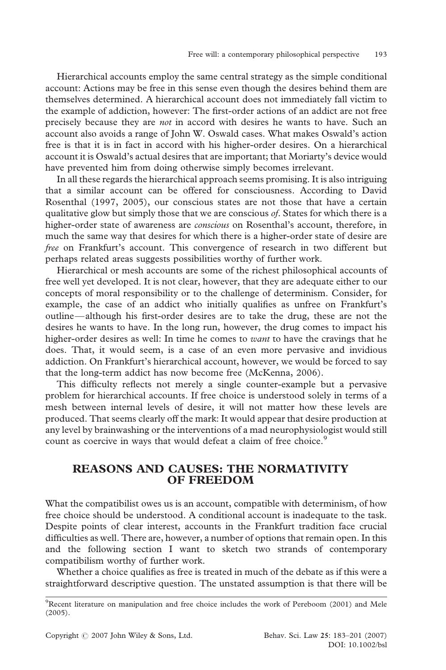Hierarchical accounts employ the same central strategy as the simple conditional account: Actions may be free in this sense even though the desires behind them are themselves determined. A hierarchical account does not immediately fall victim to the example of addiction, however: The first-order actions of an addict are not free precisely because they are not in accord with desires he wants to have. Such an account also avoids a range of John W. Oswald cases. What makes Oswald's action free is that it is in fact in accord with his higher-order desires. On a hierarchical account it is Oswald's actual desires that are important; that Moriarty's device would have prevented him from doing otherwise simply becomes irrelevant.

In all these regards the hierarchical approach seems promising. It is also intriguing that a similar account can be offered for consciousness. According to David Rosenthal (1997, 2005), our conscious states are not those that have a certain qualitative glow but simply those that we are conscious *of*. States for which there is a higher-order state of awareness are *conscious* on Rosenthal's account, therefore, in much the same way that desires for which there is a higher-order state of desire are free on Frankfurt's account. This convergence of research in two different but perhaps related areas suggests possibilities worthy of further work.

Hierarchical or mesh accounts are some of the richest philosophical accounts of free well yet developed. It is not clear, however, that they are adequate either to our concepts of moral responsibility or to the challenge of determinism. Consider, for example, the case of an addict who initially qualifies as unfree on Frankfurt's outline—although his first-order desires are to take the drug, these are not the desires he wants to have. In the long run, however, the drug comes to impact his higher-order desires as well: In time he comes to *want* to have the cravings that he does. That, it would seem, is a case of an even more pervasive and invidious addiction. On Frankfurt's hierarchical account, however, we would be forced to say that the long-term addict has now become free (McKenna, 2006).

This difficulty reflects not merely a single counter-example but a pervasive problem for hierarchical accounts. If free choice is understood solely in terms of a mesh between internal levels of desire, it will not matter how these levels are produced. That seems clearly off the mark: It would appear that desire production at any level by brainwashing or the interventions of a mad neurophysiologist would still count as coercive in ways that would defeat a claim of free choice.<sup>9</sup>

#### REASONS AND CAUSES: THE NORMATIVITY OF FREEDOM

What the compatibilist owes us is an account, compatible with determinism, of how free choice should be understood. A conditional account is inadequate to the task. Despite points of clear interest, accounts in the Frankfurt tradition face crucial difficulties as well. There are, however, a number of options that remain open. In this and the following section I want to sketch two strands of contemporary compatibilism worthy of further work.

Whether a choice qualifies as free is treated in much of the debate as if this were a straightforward descriptive question. The unstated assumption is that there will be

<sup>&</sup>lt;sup>9</sup>Recent literature on manipulation and free choice includes the work of Pereboom (2001) and Mele (2005).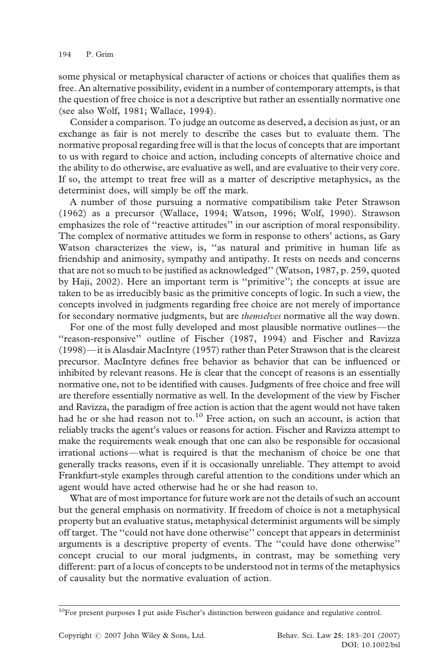some physical or metaphysical character of actions or choices that qualifies them as free. An alternative possibility, evident in a number of contemporary attempts, is that the question of free choice is not a descriptive but rather an essentially normative one (see also Wolf, 1981; Wallace, 1994).

Consider a comparison. To judge an outcome as deserved, a decision as just, or an exchange as fair is not merely to describe the cases but to evaluate them. The normative proposal regarding free will is that the locus of concepts that are important to us with regard to choice and action, including concepts of alternative choice and the ability to do otherwise, are evaluative as well, and are evaluative to their very core. If so, the attempt to treat free will as a matter of descriptive metaphysics, as the determinist does, will simply be off the mark.

A number of those pursuing a normative compatibilism take Peter Strawson (1962) as a precursor (Wallace, 1994; Watson, 1996; Wolf, 1990). Strawson emphasizes the role of ''reactive attitudes'' in our ascription of moral responsibility. The complex of normative attitudes we form in response to others' actions, as Gary Watson characterizes the view, is, ''as natural and primitive in human life as friendship and animosity, sympathy and antipathy. It rests on needs and concerns that are not so much to be justified as acknowledged'' (Watson, 1987, p. 259, quoted by Haji, 2002). Here an important term is ''primitive''; the concepts at issue are taken to be as irreducibly basic as the primitive concepts of logic. In such a view, the concepts involved in judgments regarding free choice are not merely of importance for secondary normative judgments, but are *themselves* normative all the way down.

For one of the most fully developed and most plausible normative outlines—the "reason-responsive" outline of Fischer (1987, 1994) and Fischer and Ravizza (1998)—it is Alasdair MacIntyre (1957) rather than Peter Strawson that is the clearest precursor. MacIntyre defines free behavior as behavior that can be influenced or inhibited by relevant reasons. He is clear that the concept of reasons is an essentially normative one, not to be identified with causes. Judgments of free choice and free will are therefore essentially normative as well. In the development of the view by Fischer and Ravizza, the paradigm of free action is action that the agent would not have taken had he or she had reason not to.<sup>10</sup> Free action, on such an account, is action that reliably tracks the agent's values or reasons for action. Fischer and Ravizza attempt to make the requirements weak enough that one can also be responsible for occasional irrational actions—what is required is that the mechanism of choice be one that generally tracks reasons, even if it is occasionally unreliable. They attempt to avoid Frankfurt-style examples through careful attention to the conditions under which an agent would have acted otherwise had he or she had reason to.

What are of most importance for future work are not the details of such an account but the general emphasis on normativity. If freedom of choice is not a metaphysical property but an evaluative status, metaphysical determinist arguments will be simply off target. The ''could not have done otherwise'' concept that appears in determinist arguments is a descriptive property of events. The ''could have done otherwise'' concept crucial to our moral judgments, in contrast, may be something very different: part of a locus of concepts to be understood not in terms of the metaphysics of causality but the normative evaluation of action.

<sup>&</sup>lt;sup>10</sup>For present purposes I put aside Fischer's distinction between guidance and regulative control.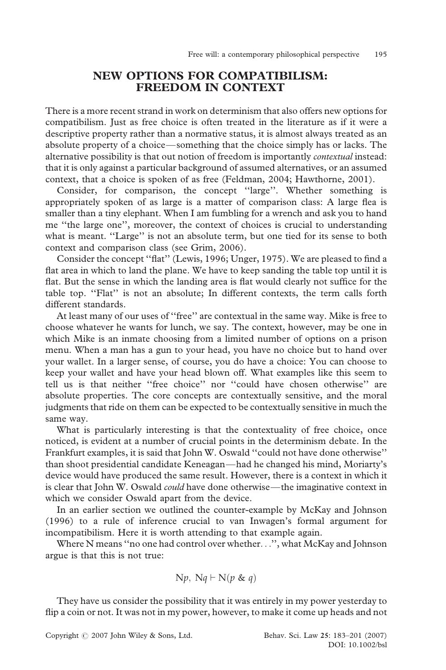#### NEW OPTIONS FOR COMPATIBILISM: FREEDOM IN CONTEXT

There is a more recent strand in work on determinism that also offers new options for compatibilism. Just as free choice is often treated in the literature as if it were a descriptive property rather than a normative status, it is almost always treated as an absolute property of a choice—something that the choice simply has or lacks. The alternative possibility is that out notion of freedom is importantly contextual instead: that it is only against a particular background of assumed alternatives, or an assumed context, that a choice is spoken of as free (Feldman, 2004; Hawthorne, 2001).

Consider, for comparison, the concept ''large''. Whether something is appropriately spoken of as large is a matter of comparison class: A large flea is smaller than a tiny elephant. When I am fumbling for a wrench and ask you to hand me ''the large one'', moreover, the context of choices is crucial to understanding what is meant. "Large" is not an absolute term, but one tied for its sense to both context and comparison class (see Grim, 2006).

Consider the concept ''flat'' (Lewis, 1996; Unger, 1975). We are pleased to find a flat area in which to land the plane. We have to keep sanding the table top until it is flat. But the sense in which the landing area is flat would clearly not suffice for the table top. ''Flat'' is not an absolute; In different contexts, the term calls forth different standards.

At least many of our uses of ''free'' are contextual in the same way. Mike is free to choose whatever he wants for lunch, we say. The context, however, may be one in which Mike is an inmate choosing from a limited number of options on a prison menu. When a man has a gun to your head, you have no choice but to hand over your wallet. In a larger sense, of course, you do have a choice: You can choose to keep your wallet and have your head blown off. What examples like this seem to tell us is that neither ''free choice'' nor ''could have chosen otherwise'' are absolute properties. The core concepts are contextually sensitive, and the moral judgments that ride on them can be expected to be contextually sensitive in much the same way.

What is particularly interesting is that the contextuality of free choice, once noticed, is evident at a number of crucial points in the determinism debate. In the Frankfurt examples, it is said that John W. Oswald ''could not have done otherwise'' than shoot presidential candidate Keneagan—had he changed his mind, Moriarty's device would have produced the same result. However, there is a context in which it is clear that John W. Oswald could have done otherwise—the imaginative context in which we consider Oswald apart from the device.

In an earlier section we outlined the counter-example by McKay and Johnson (1996) to a rule of inference crucial to van Inwagen's formal argument for incompatibilism. Here it is worth attending to that example again.

Where N means ''no one had control over whether...'', what McKay and Johnson argue is that this is not true:

$$
Np, Nq \vdash N(p \& q)
$$

They have us consider the possibility that it was entirely in my power yesterday to flip a coin or not. It was not in my power, however, to make it come up heads and not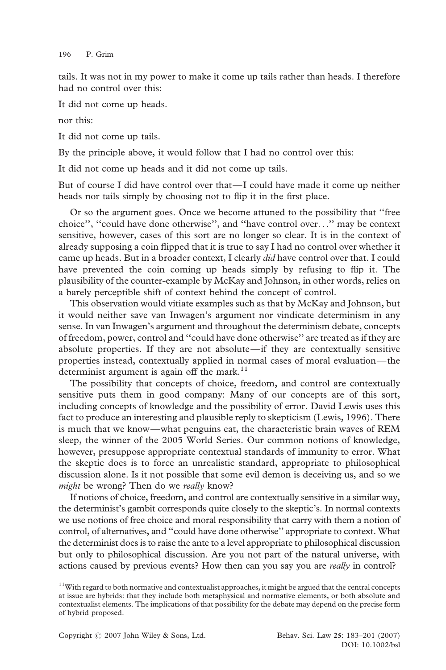tails. It was not in my power to make it come up tails rather than heads. I therefore had no control over this:

It did not come up heads.

nor this:

It did not come up tails.

By the principle above, it would follow that I had no control over this:

It did not come up heads and it did not come up tails.

But of course I did have control over that—I could have made it come up neither heads nor tails simply by choosing not to flip it in the first place.

Or so the argument goes. Once we become attuned to the possibility that ''free choice'', ''could have done otherwise'', and ''have control over...'' may be context sensitive, however, cases of this sort are no longer so clear. It is in the context of already supposing a coin flipped that it is true to say I had no control over whether it came up heads. But in a broader context, I clearly *did* have control over that. I could have prevented the coin coming up heads simply by refusing to flip it. The plausibility of the counter-example by McKay and Johnson, in other words, relies on a barely perceptible shift of context behind the concept of control.

This observation would vitiate examples such as that by McKay and Johnson, but it would neither save van Inwagen's argument nor vindicate determinism in any sense. In van Inwagen's argument and throughout the determinism debate, concepts of freedom, power, control and ''could have done otherwise'' are treated as if they are absolute properties. If they are not absolute—if they are contextually sensitive properties instead, contextually applied in normal cases of moral evaluation— the determinist argument is again off the mark.<sup>11</sup>

The possibility that concepts of choice, freedom, and control are contextually sensitive puts them in good company: Many of our concepts are of this sort, including concepts of knowledge and the possibility of error. David Lewis uses this fact to produce an interesting and plausible reply to skepticism (Lewis, 1996). There is much that we know—what penguins eat, the characteristic brain waves of REM sleep, the winner of the 2005 World Series. Our common notions of knowledge, however, presuppose appropriate contextual standards of immunity to error. What the skeptic does is to force an unrealistic standard, appropriate to philosophical discussion alone. Is it not possible that some evil demon is deceiving us, and so we might be wrong? Then do we really know?

If notions of choice, freedom, and control are contextually sensitive in a similar way, the determinist's gambit corresponds quite closely to the skeptic's. In normal contexts we use notions of free choice and moral responsibility that carry with them a notion of control, of alternatives, and ''could have done otherwise'' appropriate to context. What the determinist does is to raise the ante to a level appropriate to philosophical discussion but only to philosophical discussion. Are you not part of the natural universe, with actions caused by previous events? How then can you say you are really in control?

<sup>&</sup>lt;sup>11</sup>With regard to both normative and contextualist approaches, it might be argued that the central concepts at issue are hybrids: that they include both metaphysical and normative elements, or both absolute and contextualist elements. The implications of that possibility for the debate may depend on the precise form of hybrid proposed.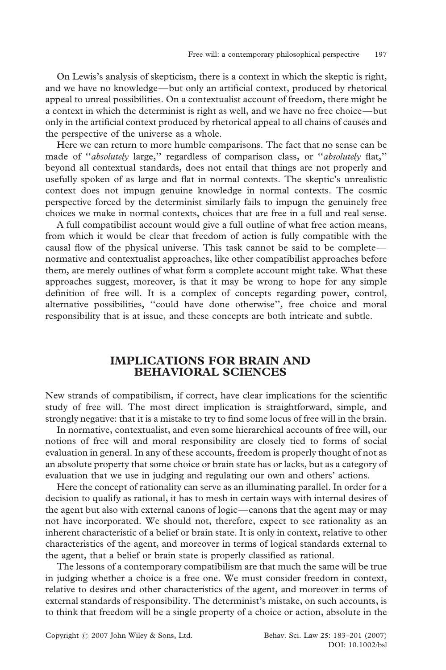On Lewis's analysis of skepticism, there is a context in which the skeptic is right, and we have no knowledge—but only an artificial context, produced by rhetorical appeal to unreal possibilities. On a contextualist account of freedom, there might be a context in which the determinist is right as well, and we have no free choice—but only in the artificial context produced by rhetorical appeal to all chains of causes and the perspective of the universe as a whole.

Here we can return to more humble comparisons. The fact that no sense can be made of "absolutely large," regardless of comparison class, or "absolutely flat," beyond all contextual standards, does not entail that things are not properly and usefully spoken of as large and flat in normal contexts. The skeptic's unrealistic context does not impugn genuine knowledge in normal contexts. The cosmic perspective forced by the determinist similarly fails to impugn the genuinely free choices we make in normal contexts, choices that are free in a full and real sense.

A full compatibilist account would give a full outline of what free action means, from which it would be clear that freedom of action is fully compatible with the causal flow of the physical universe. This task cannot be said to be complete normative and contextualist approaches, like other compatibilist approaches before them, are merely outlines of what form a complete account might take. What these approaches suggest, moreover, is that it may be wrong to hope for any simple definition of free will. It is a complex of concepts regarding power, control, alternative possibilities, ''could have done otherwise'', free choice and moral responsibility that is at issue, and these concepts are both intricate and subtle.

#### IMPLICATIONS FOR BRAIN AND BEHAVIORAL SCIENCES

New strands of compatibilism, if correct, have clear implications for the scientific study of free will. The most direct implication is straightforward, simple, and strongly negative: that it is a mistake to try to find some locus of free will in the brain.

In normative, contextualist, and even some hierarchical accounts of free will, our notions of free will and moral responsibility are closely tied to forms of social evaluation in general. In any of these accounts, freedom is properly thought of not as an absolute property that some choice or brain state has or lacks, but as a category of evaluation that we use in judging and regulating our own and others' actions.

Here the concept of rationality can serve as an illuminating parallel. In order for a decision to qualify as rational, it has to mesh in certain ways with internal desires of the agent but also with external canons of logic—canons that the agent may or may not have incorporated. We should not, therefore, expect to see rationality as an inherent characteristic of a belief or brain state. It is only in context, relative to other characteristics of the agent, and moreover in terms of logical standards external to the agent, that a belief or brain state is properly classified as rational.

The lessons of a contemporary compatibilism are that much the same will be true in judging whether a choice is a free one. We must consider freedom in context, relative to desires and other characteristics of the agent, and moreover in terms of external standards of responsibility. The determinist's mistake, on such accounts, is to think that freedom will be a single property of a choice or action, absolute in the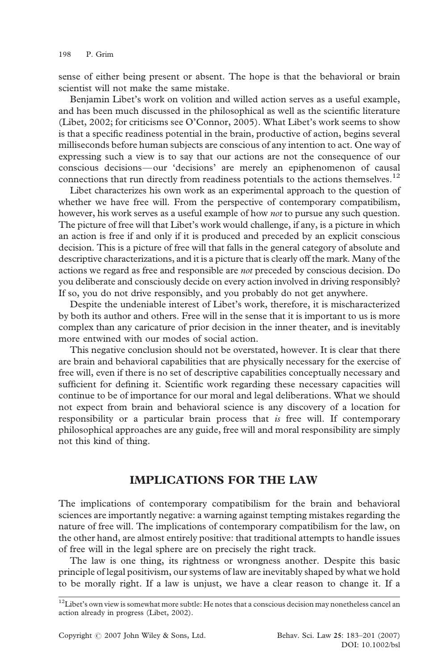sense of either being present or absent. The hope is that the behavioral or brain scientist will not make the same mistake.

Benjamin Libet's work on volition and willed action serves as a useful example, and has been much discussed in the philosophical as well as the scientific literature (Libet, 2002; for criticisms see O'Connor, 2005). What Libet's work seems to show is that a specific readiness potential in the brain, productive of action, begins several milliseconds before human subjects are conscious of any intention to act. One way of expressing such a view is to say that our actions are not the consequence of our conscious decisions—our 'decisions' are merely an epiphenomenon of causal connections that run directly from readiness potentials to the actions themselves.<sup>12</sup>

Libet characterizes his own work as an experimental approach to the question of whether we have free will. From the perspective of contemporary compatibilism, however, his work serves as a useful example of how not to pursue any such question. The picture of free will that Libet's work would challenge, if any, is a picture in which an action is free if and only if it is produced and preceded by an explicit conscious decision. This is a picture of free will that falls in the general category of absolute and descriptive characterizations, and it is a picture that is clearly off the mark. Many of the actions we regard as free and responsible are not preceded by conscious decision. Do you deliberate and consciously decide on every action involved in driving responsibly? If so, you do not drive responsibly, and you probably do not get anywhere.

Despite the undeniable interest of Libet's work, therefore, it is mischaracterized by both its author and others. Free will in the sense that it is important to us is more complex than any caricature of prior decision in the inner theater, and is inevitably more entwined with our modes of social action.

This negative conclusion should not be overstated, however. It is clear that there are brain and behavioral capabilities that are physically necessary for the exercise of free will, even if there is no set of descriptive capabilities conceptually necessary and sufficient for defining it. Scientific work regarding these necessary capacities will continue to be of importance for our moral and legal deliberations. What we should not expect from brain and behavioral science is any discovery of a location for responsibility or a particular brain process that is free will. If contemporary philosophical approaches are any guide, free will and moral responsibility are simply not this kind of thing.

#### IMPLICATIONS FOR THE LAW

The implications of contemporary compatibilism for the brain and behavioral sciences are importantly negative: a warning against tempting mistakes regarding the nature of free will. The implications of contemporary compatibilism for the law, on the other hand, are almost entirely positive: that traditional attempts to handle issues of free will in the legal sphere are on precisely the right track.

The law is one thing, its rightness or wrongness another. Despite this basic principle of legal positivism, our systems of law are inevitably shaped by what we hold to be morally right. If a law is unjust, we have a clear reason to change it. If a

 $12$ Libet's own view is somewhat more subtle: He notes that a conscious decision may nonetheless cancel an action already in progress (Libet, 2002).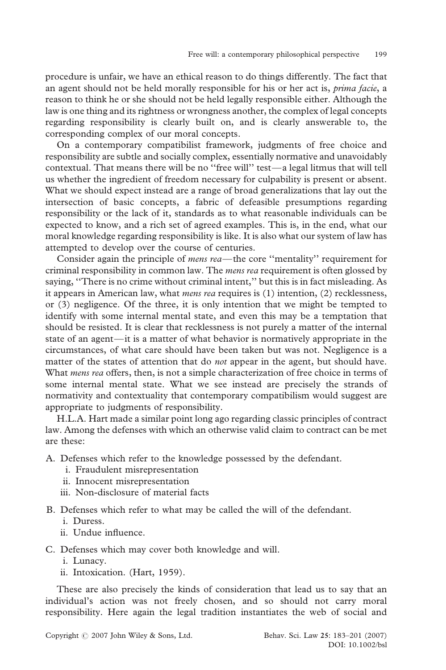procedure is unfair, we have an ethical reason to do things differently. The fact that an agent should not be held morally responsible for his or her act is, prima facie, a reason to think he or she should not be held legally responsible either. Although the law is one thing and its rightness or wrongness another, the complex of legal concepts regarding responsibility is clearly built on, and is clearly answerable to, the corresponding complex of our moral concepts.

On a contemporary compatibilist framework, judgments of free choice and responsibility are subtle and socially complex, essentially normative and unavoidably contextual. That means there will be no ''free will'' test—a legal litmus that will tell us whether the ingredient of freedom necessary for culpability is present or absent. What we should expect instead are a range of broad generalizations that lay out the intersection of basic concepts, a fabric of defeasible presumptions regarding responsibility or the lack of it, standards as to what reasonable individuals can be expected to know, and a rich set of agreed examples. This is, in the end, what our moral knowledge regarding responsibility is like. It is also what our system of law has attempted to develop over the course of centuries.

Consider again the principle of mens rea— the core ''mentality'' requirement for criminal responsibility in common law. The *mens rea* requirement is often glossed by saying, ''There is no crime without criminal intent,'' but this is in fact misleading. As it appears in American law, what mens rea requires is (1) intention, (2) recklessness, or (3) negligence. Of the three, it is only intention that we might be tempted to identify with some internal mental state, and even this may be a temptation that should be resisted. It is clear that recklessness is not purely a matter of the internal state of an agent—it is a matter of what behavior is normatively appropriate in the circumstances, of what care should have been taken but was not. Negligence is a matter of the states of attention that do *not* appear in the agent, but should have. What mens rea offers, then, is not a simple characterization of free choice in terms of some internal mental state. What we see instead are precisely the strands of normativity and contextuality that contemporary compatibilism would suggest are appropriate to judgments of responsibility.

H.L.A. Hart made a similar point long ago regarding classic principles of contract law. Among the defenses with which an otherwise valid claim to contract can be met are these:

A. Defenses which refer to the knowledge possessed by the defendant.

- i. Fraudulent misrepresentation
- ii. Innocent misrepresentation
- iii. Non-disclosure of material facts
- B. Defenses which refer to what may be called the will of the defendant.
	- i. Duress.
	- ii. Undue influence.
- C. Defenses which may cover both knowledge and will.
	- i. Lunacy.
	- ii. Intoxication. (Hart, 1959).

These are also precisely the kinds of consideration that lead us to say that an individual's action was not freely chosen, and so should not carry moral responsibility. Here again the legal tradition instantiates the web of social and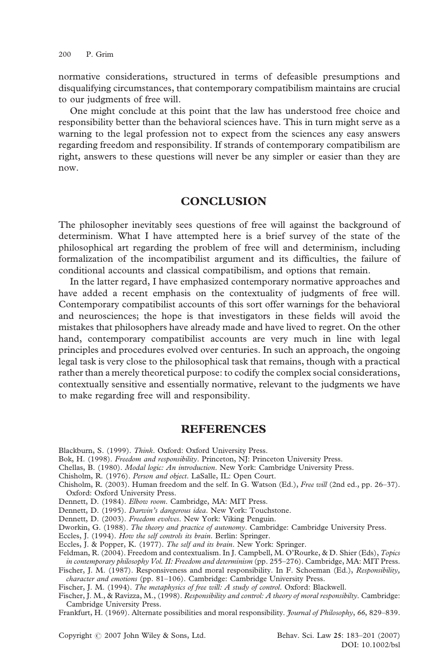normative considerations, structured in terms of defeasible presumptions and disqualifying circumstances, that contemporary compatibilism maintains are crucial to our judgments of free will.

One might conclude at this point that the law has understood free choice and responsibility better than the behavioral sciences have. This in turn might serve as a warning to the legal profession not to expect from the sciences any easy answers regarding freedom and responsibility. If strands of contemporary compatibilism are right, answers to these questions will never be any simpler or easier than they are now.

#### **CONCLUSION**

The philosopher inevitably sees questions of free will against the background of determinism. What I have attempted here is a brief survey of the state of the philosophical art regarding the problem of free will and determinism, including formalization of the incompatibilist argument and its difficulties, the failure of conditional accounts and classical compatibilism, and options that remain.

In the latter regard, I have emphasized contemporary normative approaches and have added a recent emphasis on the contextuality of judgments of free will. Contemporary compatibilist accounts of this sort offer warnings for the behavioral and neurosciences; the hope is that investigators in these fields will avoid the mistakes that philosophers have already made and have lived to regret. On the other hand, contemporary compatibilist accounts are very much in line with legal principles and procedures evolved over centuries. In such an approach, the ongoing legal task is very close to the philosophical task that remains, though with a practical rather than a merely theoretical purpose: to codify the complex social considerations, contextually sensitive and essentially normative, relevant to the judgments we have to make regarding free will and responsibility.

#### **REFERENCES**

Blackburn, S. (1999). Think. Oxford: Oxford University Press.

Bok, H. (1998). Freedom and responsibility. Princeton, NJ: Princeton University Press.

- Chellas, B. (1980). Modal logic: An introduction. New York: Cambridge University Press.
- Chisholm, R. (1976). Person and object. LaSalle, IL: Open Court.
- Chisholm, R. (2003). Human freedom and the self. In G. Watson (Ed.), Free will (2nd ed., pp. 26–37). Oxford: Oxford University Press.

Dennett, D. (1984). Elbow room. Cambridge, MA: MIT Press.

Dennett, D. (1995). Darwin's dangerous idea. New York: Touchstone.

- Dennett, D. (2003). Freedom evolves. New York: Viking Penguin.
- Dworkin, G. (1988). The theory and practice of autonomy. Cambridge: Cambridge University Press.
- Eccles, J. (1994). How the self controls its brain. Berlin: Springer.

Eccles, J. & Popper, K. (1977). The self and its brain. New York: Springer.

Feldman, R. (2004). Freedom and contextualism. In J. Campbell, M. O'Rourke, & D. Shier (Eds), Topics in contemporary philosophy Vol. II: Freedom and determinism (pp. 255–276). Cambridge, MA: MIT Press.

Fischer, J. M. (1987). Responsiveness and moral responsibility. In F. Schoeman (Ed.), Responsibility, character and emotions (pp. 81–106). Cambridge: Cambridge University Press.

Fischer, J. M. (1994). The metaphysics of free will: A study of control. Oxford: Blackwell.

Fischer, J. M., & Ravizza, M., (1998). Responsibility and control: A theory of moral responsibilty. Cambridge: Cambridge University Press.

Frankfurt, H. (1969). Alternate possibilities and moral responsibility. Journal of Philosophy, 66, 829–839.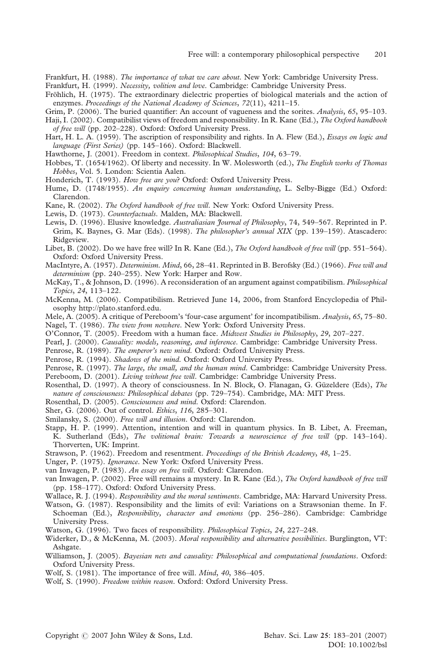Frankfurt, H. (1988). The importance of what we care about. New York: Cambridge University Press.

Frankfurt, H. (1999). Necessity, volition and love. Cambridge: Cambridge University Press.

- Fröhlich, H. (1975). The extraordinary dielectric properties of biological materials and the action of enzymes. Proceedings of the National Academy of Sciences, 72(11), 4211-15.
- Grim, P. (2006). The buried quantifier: An account of vagueness and the sorites. Analysis, 65, 95–103.
- Haji, I. (2002). Compatibilist views of freedom and responsibility. In R. Kane (Ed.), The Oxford handbook of free will (pp. 202–228). Oxford: Oxford University Press.
- Hart, H. L. A. (1959). The ascription of responsibility and rights. In A. Flew (Ed.), Essays on logic and language (First Series) (pp. 145–166). Oxford: Blackwell.
- Hawthorne, J. (2001). Freedom in context. Philosophical Studies, 104, 63–79.
- Hobbes, T. (1654/1962). Of liberty and necessity. In W. Molesworth (ed.), The English works of Thomas Hobbes, Vol. 5. London: Scientia Aalen.
- Honderich, T. (1993). How free are you? Oxford: Oxford University Press.
- Hume, D. (1748/1955). An enquiry concerning human understanding, L. Selby-Bigge (Ed.) Oxford: Clarendon.
- Kane, R. (2002). The Oxford handbook of free will. New York: Oxford University Press.
- Lewis, D. (1973). Counterfactuals. Malden, MA: Blackwell.
- Lewis, D. (1996). Elusive knowledge. Australiasian Journal of Philosophy, 74, 549–567. Reprinted in P. Grim, K. Baynes, G. Mar (Eds). (1998). The philosopher's annual XIX (pp. 139-159). Atascadero: Ridgeview.
- Libet, B. (2002). Do we have free will? In R. Kane (Ed.), The Oxford handbook of free will (pp. 551–564). Oxford: Oxford University Press.
- MacIntyre, A. (1957). Determinism. Mind, 66, 28-41. Reprinted in B. Berofsky (Ed.) (1966). Free will and determinism (pp. 240-255). New York: Harper and Row.
- McKay, T., & Johnson, D. (1996). A reconsideration of an argument against compatibilism. Philosophical Topics, 24, 113–122.
- McKenna, M. (2006). Compatibilism. Retrieved June 14, 2006, from Stanford Encyclopedia of Philosophy http://plato.stanford.edu.
- Mele, A. (2005). A critique of Pereboom's 'four-case argument' for incompatibilism. Analysis, 65, 75–80.

Nagel, T. (1986). The view from nowhere. New York: Oxford University Press.

- O'Connor, T. (2005). Freedom with a human face. Midwest Studies in Philosophy, 29, 207–227.
- Pearl, J. (2000). Causality: models, reasoning, and inference. Cambridge: Cambridge University Press.
- Penrose, R. (1989). The emperor's new mind. Oxford: Oxford University Press.
- Penrose, R. (1994). Shadows of the mind. Oxford: Oxford University Press.
- Penrose, R. (1997). The large, the small, and the human mind. Cambridge: Cambridge University Press. Pereboom, D. (2001). Living without free will. Cambridge: Cambridge University Press.
- Rosenthal, D. (1997). A theory of consciousness. In N. Block, O. Flanagan, G. Güzeldere (Eds), The nature of consciousness: Philosophical debates (pp. 729–754). Cambridge, MA: MIT Press.
- Rosenthal, D. (2005). Consciousness and mind. Oxford: Clarendon.
- Sher, G. (2006). Out of control. Ethics, 116, 285–301.
- Smilansky, S. (2000). Free will and illusion. Oxford: Clarendon.
- Stapp, H. P. (1999). Attention, intention and will in quantum physics. In B. Libet, A. Freeman, K. Sutherland (Eds), The volitional brain: Towards a neuroscience of free will (pp. 143–164). Thorverten, UK: Imprint.
- Strawson, P. (1962). Freedom and resentment. Proceedings of the British Academy, 48, 1–25.
- Unger, P. (1975). Ignorance. New York: Oxford University Press.
- van Inwagen, P. (1983). An essay on free will. Oxford: Clarendon.
- van Inwagen, P. (2002). Free will remains a mystery. In R. Kane (Ed.), The Oxford handbook of free will (pp. 158–177). Oxford: Oxford University Press.
- Wallace, R. J. (1994). Responsibility and the moral sentiments. Cambridge, MA: Harvard University Press. Watson, G. (1987). Responsibility and the limits of evil: Variations on a Strawsonian theme. In F. Schoeman (Ed.), Responsibility, character and emotions (pp. 256–286). Cambridge: Cambridge University Press.
- Watson, G. (1996). Two faces of responsibility. Philosophical Topics, 24, 227-248.
- Widerker, D., & McKenna, M. (2003). Moral responsibility and alternative possibilities. Burglington, VT: Ashgate.
- Williamson, J. (2005). Bayesian nets and causality: Philosophical and computational foundations. Oxford: Oxford University Press.
- Wolf, S. (1981). The importance of free will. *Mind*, 40, 386-405.
- Wolf, S. (1990). Freedom within reason. Oxford: Oxford University Press.